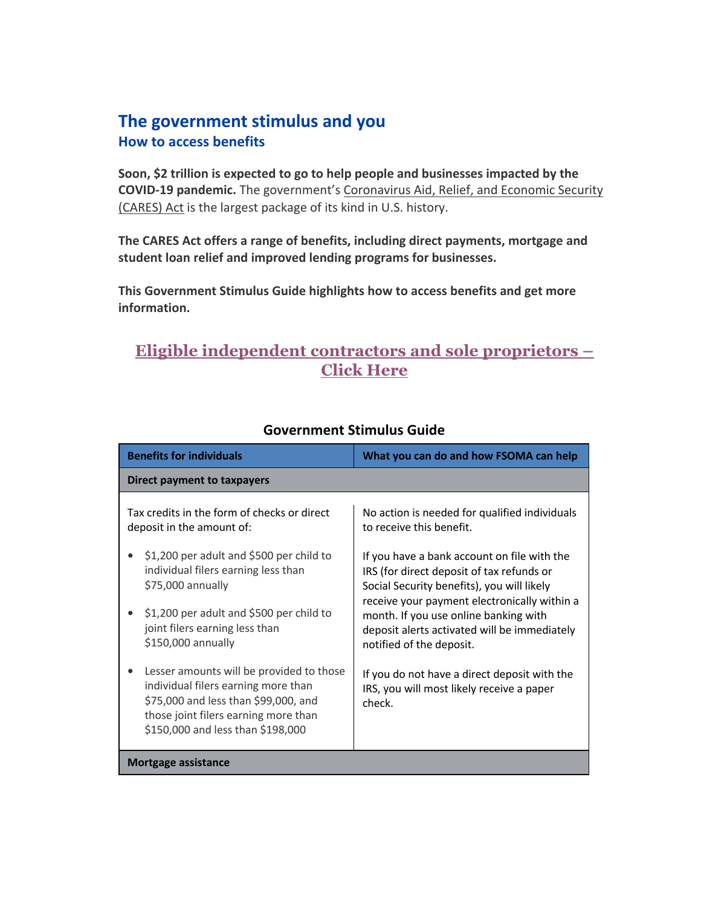## **The government stimulus and you How to access benefits**

**Soon, \$2 trillion is expected to go to help people and businesses impacted by the COVID-19 pandemic.** The government's Coronavirus Aid, Relief, and Economic Security (CARES) Act is the largest package of its kind in U.S. history.

**The CARES Act offers a range of benefits, including direct payments, mortgage and student loan relief and improved lending programs for businesses.** 

**This Government Stimulus Guide highlights how to access benefits and get more information.** 

## **Eligible independent contractors and sole proprietors – Click Here**

| <b>Benefits for individuals</b>                                                                                                                                                                      | What you can do and how FSOMA can help                                                                                                  |  |
|------------------------------------------------------------------------------------------------------------------------------------------------------------------------------------------------------|-----------------------------------------------------------------------------------------------------------------------------------------|--|
| Direct payment to taxpayers                                                                                                                                                                          |                                                                                                                                         |  |
| Tax credits in the form of checks or direct<br>deposit in the amount of:<br>\$1,200 per adult and \$500 per child to                                                                                 | No action is needed for qualified individuals<br>to receive this benefit.<br>If you have a bank account on file with the                |  |
| individual filers earning less than<br>\$75,000 annually                                                                                                                                             | IRS (for direct deposit of tax refunds or<br>Social Security benefits), you will likely<br>receive your payment electronically within a |  |
| \$1,200 per adult and \$500 per child to<br>joint filers earning less than<br>\$150,000 annually                                                                                                     | month. If you use online banking with<br>deposit alerts activated will be immediately<br>notified of the deposit.                       |  |
| Lesser amounts will be provided to those<br>individual filers earning more than<br>\$75,000 and less than \$99,000, and<br>those joint filers earning more than<br>\$150,000 and less than \$198,000 | If you do not have a direct deposit with the<br>IRS, you will most likely receive a paper<br>check.                                     |  |
| <b>Mortgage assistance</b>                                                                                                                                                                           |                                                                                                                                         |  |
|                                                                                                                                                                                                      |                                                                                                                                         |  |

## **Government Stimulus Guide**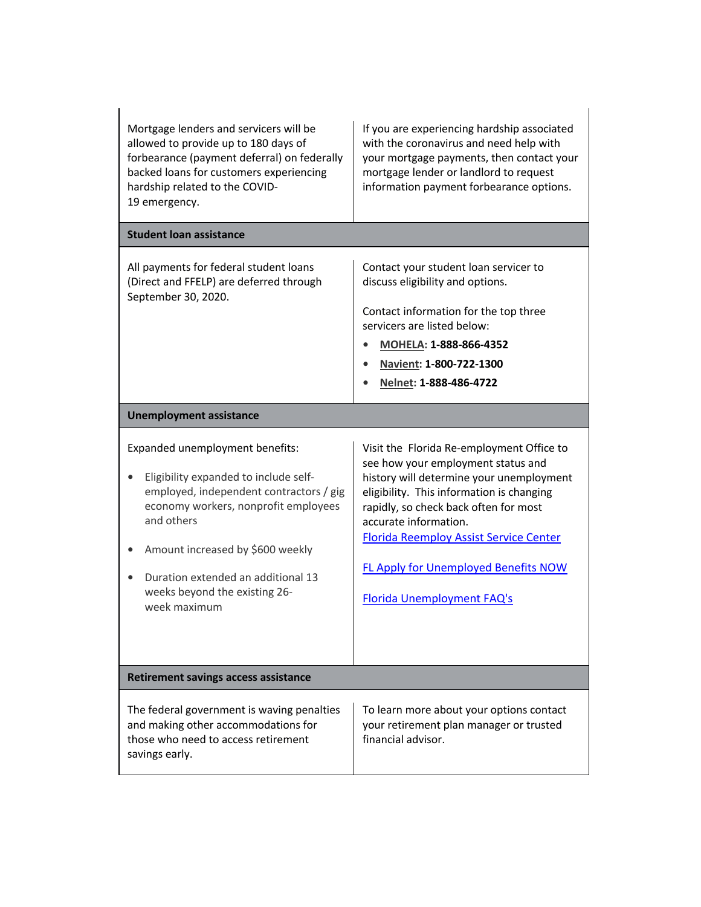| Mortgage lenders and servicers will be<br>allowed to provide up to 180 days of<br>forbearance (payment deferral) on federally<br>backed loans for customers experiencing<br>hardship related to the COVID-<br>19 emergency.                                                                          | If you are experiencing hardship associated<br>with the coronavirus and need help with<br>your mortgage payments, then contact your<br>mortgage lender or landlord to request<br>information payment forbearance options.                                                                                                                                                |  |
|------------------------------------------------------------------------------------------------------------------------------------------------------------------------------------------------------------------------------------------------------------------------------------------------------|--------------------------------------------------------------------------------------------------------------------------------------------------------------------------------------------------------------------------------------------------------------------------------------------------------------------------------------------------------------------------|--|
| <b>Student loan assistance</b>                                                                                                                                                                                                                                                                       |                                                                                                                                                                                                                                                                                                                                                                          |  |
| All payments for federal student loans<br>(Direct and FFELP) are deferred through<br>September 30, 2020.                                                                                                                                                                                             | Contact your student loan servicer to<br>discuss eligibility and options.<br>Contact information for the top three<br>servicers are listed below:<br>MOHELA: 1-888-866-4352<br>Navient: 1-800-722-1300<br>Nelnet: 1-888-486-4722                                                                                                                                         |  |
| <b>Unemployment assistance</b>                                                                                                                                                                                                                                                                       |                                                                                                                                                                                                                                                                                                                                                                          |  |
| Expanded unemployment benefits:<br>Eligibility expanded to include self-<br>employed, independent contractors / gig<br>economy workers, nonprofit employees<br>and others<br>Amount increased by \$600 weekly<br>Duration extended an additional 13<br>weeks beyond the existing 26-<br>week maximum | Visit the Florida Re-employment Office to<br>see how your employment status and<br>history will determine your unemployment<br>eligibility. This information is changing<br>rapidly, so check back often for most<br>accurate information.<br><b>Florida Reemploy Assist Service Center</b><br><b>FL Apply for Unemployed Benefits NOW</b><br>Florida Unemployment FAQ's |  |
| <b>Retirement savings access assistance</b>                                                                                                                                                                                                                                                          |                                                                                                                                                                                                                                                                                                                                                                          |  |
| The federal government is waving penalties<br>and making other accommodations for<br>those who need to access retirement<br>savings early.                                                                                                                                                           | To learn more about your options contact<br>your retirement plan manager or trusted<br>financial advisor.                                                                                                                                                                                                                                                                |  |